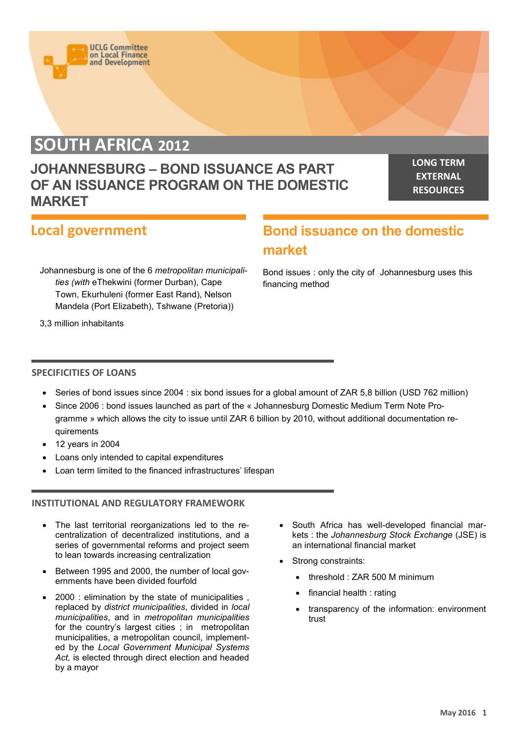

**UCLG Committee** on Local Finance<br>and Development

# **JOHANNESBURG – BOND ISSUANCE AS PART OF AN ISSUANCE PROGRAM ON THE DOMESTIC MARKET**

**LONG TERM EXTERNAL RESOURCES**

## **Local government**

Johannesburg is one of the 6 *metropolitan municipalities (with* eThekwini (former Durban), Cape Town, Ekurhuleni (former East Rand), Nelson Mandela (Port Elizabeth), Tshwane (Pretoria))

**Bond issuance on the domestic market**

Bond issues : only the city of Johannesburg uses this financing method

3,3 million inhabitants

#### **SPECIFICITIES OF LOANS**

- Series of bond issues since 2004 : six bond issues for a global amount of ZAR 5,8 billion (USD 762 million)
- Since 2006 : bond issues launched as part of the « Johannesburg Domestic Medium Term Note Programme » which allows the city to issue until ZAR 6 billion by 2010, without additional documentation requirements
- $\bullet$  12 years in 2004
- Loans only intended to capital expenditures
- Loan term limited to the financed infrastructures' lifespan

#### **INSTITUTIONAL AND REGULATORY FRAMEWORK**

- The last territorial reorganizations led to the recentralization of decentralized institutions, and a series of governmental reforms and project seem to lean towards increasing centralization
- Between 1995 and 2000, the number of local governments have been divided fourfold
- 2000 : elimination by the state of municipalities , replaced by *district municipalities*, divided in *local municipalities*, and in *metropolitan municipalities*  for the country's largest cities ; in metropolitan municipalities, a metropolitan council, implemented by the *Local Government Municipal Systems Act,* is elected through direct election and headed by a mayor
- South Africa has well-developed financial markets : the *Johannesburg Stock Exchange* (JSE) is an international financial market
- Strong constraints:
	- threshold : ZAR 500 M minimum
	- financial health : rating
	- transparency of the information: environment trust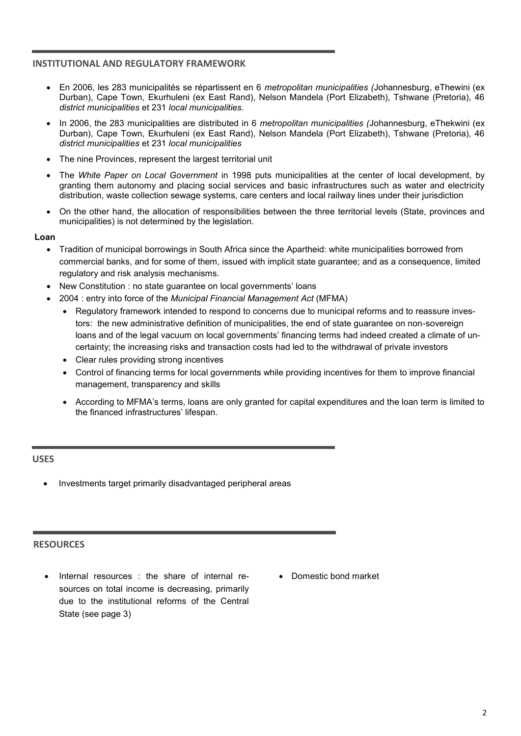#### **INSTITUTIONAL AND REGULATORY FRAMEWORK**

- En 2006, les 283 municipalités se répartissent en 6 *metropolitan municipalities (*Johannesburg, eThewini (ex Durban), Cape Town, Ekurhuleni (ex East Rand), Nelson Mandela (Port Elizabeth), Tshwane (Pretoria), 46 *district municipalities* et 231 *local municipalities.*
- In 2006, the 283 municipalities are distributed in 6 *metropolitan municipalities (*Johannesburg, eThekwini (ex Durban), Cape Town, Ekurhuleni (ex East Rand), Nelson Mandela (Port Elizabeth), Tshwane (Pretoria), 46 *district municipalities* et 231 *local municipalities*
- The nine Provinces, represent the largest territorial unit
- The *White Paper on Local Government* in 1998 puts municipalities at the center of local development, by granting them autonomy and placing social services and basic infrastructures such as water and electricity distribution, waste collection sewage systems, care centers and local railway lines under their jurisdiction
- On the other hand, the allocation of responsibilities between the three territorial levels (State, provinces and municipalities) is not determined by the legislation.

**Loan**

- Tradition of municipal borrowings in South Africa since the Apartheid: white municipalities borrowed from commercial banks, and for some of them, issued with implicit state guarantee; and as a consequence, limited regulatory and risk analysis mechanisms.
- New Constitution : no state guarantee on local governments' loans
- 2004 : entry into force of the *Municipal Financial Management Act* (MFMA)
	- Regulatory framework intended to respond to concerns due to municipal reforms and to reassure investors: the new administrative definition of municipalities, the end of state guarantee on non-sovereign loans and of the legal vacuum on local governments' financing terms had indeed created a climate of uncertainty; the increasing risks and transaction costs had led to the withdrawal of private investors
	- Clear rules providing strong incentives
	- Control of financing terms for local governments while providing incentives for them to improve financial management, transparency and skills
	- According to MFMA's terms, loans are only granted for capital expenditures and the loan term is limited to the financed infrastructures' lifespan.

#### **USES**

Investments target primarily disadvantaged peripheral areas

#### **RESOURCES**

- Internal resources : the share of internal resources on total income is decreasing, primarily due to the institutional reforms of the Central State (see page 3)
- Domestic bond market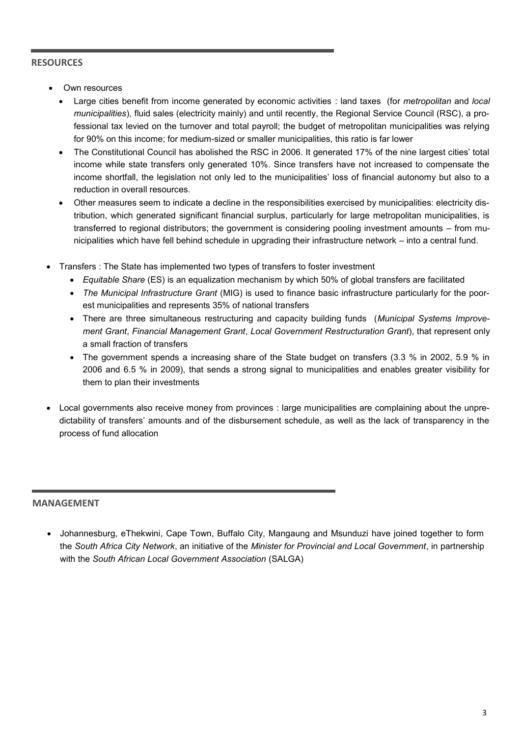### **RESOURCES**

- Own resources
	- Large cities benefit from income generated by economic activities : land taxes (for *metropolitan* and *local municipalities*), fluid sales (electricity mainly) and until recently, the Regional Service Council (RSC), a professional tax levied on the turnover and total payroll; the budget of metropolitan municipalities was relying for 90% on this income; for medium-sized or smaller municipalities, this ratio is far lower
	- The Constitutional Council has abolished the RSC in 2006. It generated 17% of the nine largest cities' total income while state transfers only generated 10%. Since transfers have not increased to compensate the income shortfall, the legislation not only led to the municipalities' loss of financial autonomy but also to a reduction in overall resources.
	- Other measures seem to indicate a decline in the responsibilities exercised by municipalities: electricity distribution, which generated significant financial surplus, particularly for large metropolitan municipalities, is transferred to regional distributors; the government is considering pooling investment amounts – from municipalities which have fell behind schedule in upgrading their infrastructure network – into a central fund.
- Transfers : The State has implemented two types of transfers to foster investment
	- *Equitable Share* (ES) is an equalization mechanism by which 50% of global transfers are facilitated
	- *The Municipal Infrastructure Grant* (MIG) is used to finance basic infrastructure particularly for the poorest municipalities and represents 35% of national transfers
	- There are three simultaneous restructuring and capacity building funds (*Municipal Systems Improvement Grant*, *Financial Management Grant*, *Local Government Restructuration Grant*), that represent only a small fraction of transfers
	- The government spends a increasing share of the State budget on transfers (3.3 % in 2002, 5.9 % in 2006 and 6.5 % in 2009), that sends a strong signal to municipalities and enables greater visibility for them to plan their investments
- Local governments also receive money from provinces : large municipalities are complaining about the unpredictability of transfers' amounts and of the disbursement schedule, as well as the lack of transparency in the process of fund allocation

#### **MANAGEMENT**

 Johannesburg, eThekwini, Cape Town, Buffalo City, Mangaung and Msunduzi have joined together to form the *South Africa City Network*, an initiative of the *Minister for Provincial and Local Government*, in partnership with the *South African Local Government Association* (SALGA)